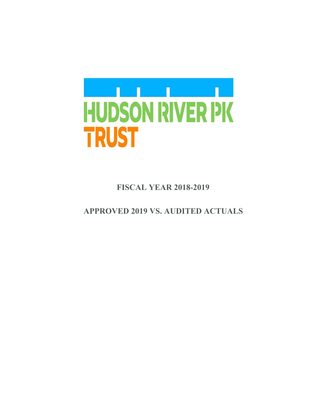

 **FISCAL YEAR 2018-2019** 

 **APPROVED 2019 VS. AUDITED ACTUALS**